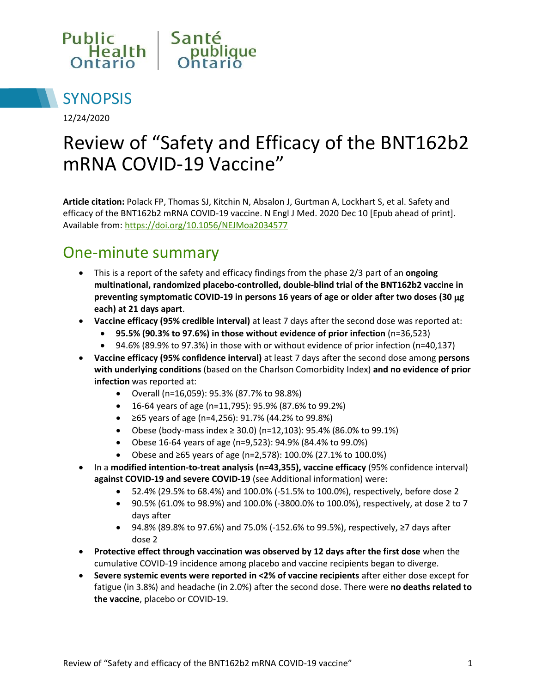



12/24/2020

# Review of "Safety and Efficacy of the BNT162b2 mRNA COVID-19 Vaccine"

**Article citation:** Polack FP, Thomas SJ, Kitchin N, Absalon J, Gurtman A, Lockhart S, et al. Safety and efficacy of the BNT162b2 mRNA COVID-19 vaccine. N Engl J Med. 2020 Dec 10 [Epub ahead of print]. Available from[: https://doi.org/10.1056/NEJMoa2034577](https://doi.org/10.1056/NEJMoa2034577)

#### One-minute summary

- This is a report of the safety and efficacy findings from the phase 2/3 part of an **ongoing multinational, randomized placebo-controlled, double-blind trial of the BNT162b2 vaccine in preventing symptomatic COVID-19 in persons 16 years of age or older after two doses (30 g each) at 21 days apart**.
- **Vaccine efficacy (95% credible interval)** at least 7 days after the second dose was reported at:
	- **95.5% (90.3% to 97.6%) in those without evidence of prior infection** (n=36,523)
	- 94.6% (89.9% to 97.3%) in those with or without evidence of prior infection (n=40,137)
- **Vaccine efficacy (95% confidence interval)** at least 7 days after the second dose among **persons with underlying conditions** (based on the Charlson Comorbidity Index) **and no evidence of prior infection** was reported at:
	- Overall (n=16,059): 95.3% (87.7% to 98.8%)
	- 16-64 years of age (n=11,795): 95.9% (87.6% to 99.2%)
	- ≥65 years of age (n=4,256): 91.7% (44.2% to 99.8%)
	- Obese (body-mass index ≥ 30.0) (n=12,103): 95.4% (86.0% to 99.1%)
	- Obese 16-64 years of age (n=9,523): 94.9% (84.4% to 99.0%)
	- Obese and ≥65 years of age (n=2,578): 100.0% (27.1% to 100.0%)
- In a **modified intention-to-treat analysis (n=43,355), vaccine efficacy** (95% confidence interval) **against COVID-19 and severe COVID-19** (see Additional information) were:
	- 52.4% (29.5% to 68.4%) and 100.0% (-51.5% to 100.0%), respectively, before dose 2
	- 90.5% (61.0% to 98.9%) and 100.0% (-3800.0% to 100.0%), respectively, at dose 2 to 7 days after
	- 94.8% (89.8% to 97.6%) and 75.0% (-152.6% to 99.5%), respectively, ≥7 days after dose 2
- **Protective effect through vaccination was observed by 12 days after the first dose** when the cumulative COVID-19 incidence among placebo and vaccine recipients began to diverge.
- **Severe systemic events were reported in <2% of vaccine recipients** after either dose except for fatigue (in 3.8%) and headache (in 2.0%) after the second dose. There were **no deaths related to the vaccine**, placebo or COVID-19.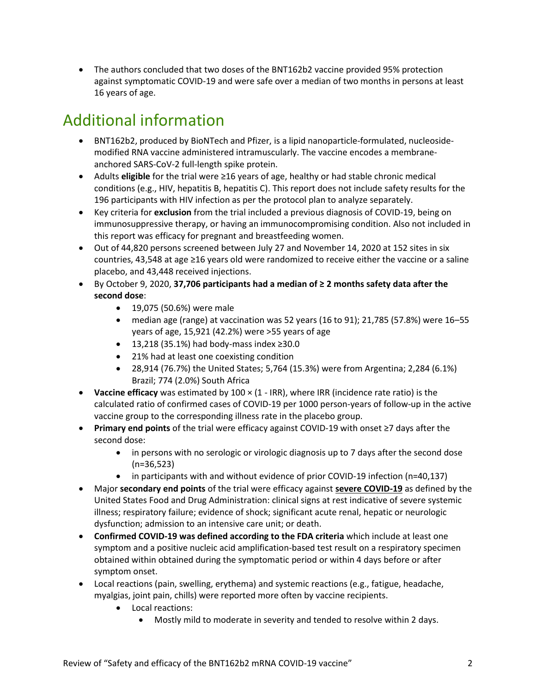The authors concluded that two doses of the BNT162b2 vaccine provided 95% protection against symptomatic COVID-19 and were safe over a median of two months in persons at least 16 years of age.

# Additional information

- BNT162b2, produced by BioNTech and Pfizer, is a lipid nanoparticle-formulated, nucleosidemodified RNA vaccine administered intramuscularly. The vaccine encodes a membraneanchored SARS-CoV-2 full-length spike protein.
- Adults **eligible** for the trial were ≥16 years of age, healthy or had stable chronic medical conditions (e.g., HIV, hepatitis B, hepatitis C). This report does not include safety results for the 196 participants with HIV infection as per the protocol plan to analyze separately.
- Key criteria for **exclusion** from the trial included a previous diagnosis of COVID-19, being on immunosuppressive therapy, or having an immunocompromising condition. Also not included in this report was efficacy for pregnant and breastfeeding women.
- Out of 44,820 persons screened between July 27 and November 14, 2020 at 152 sites in six countries, 43,548 at age ≥16 years old were randomized to receive either the vaccine or a saline placebo, and 43,448 received injections.
- By October 9, 2020, **37,706 participants had a median of ≥ 2 months safety data after the second dose**:
	- 19,075 (50.6%) were male
	- median age (range) at vaccination was 52 years (16 to 91); 21,785 (57.8%) were 16–55 years of age, 15,921 (42.2%) were >55 years of age
	- 13,218 (35.1%) had body-mass index ≥30.0
	- 21% had at least one coexisting condition
	- 28,914 (76.7%) the United States; 5,764 (15.3%) were from Argentina; 2,284 (6.1%) Brazil; 774 (2.0%) South Africa
- **Vaccine efficacy** was estimated by 100 × (1 IRR), where IRR (incidence rate ratio) is the calculated ratio of confirmed cases of COVID-19 per 1000 person-years of follow-up in the active vaccine group to the corresponding illness rate in the placebo group.
- **Primary end points** of the trial were efficacy against COVID-19 with onset ≥7 days after the second dose:
	- in persons with no serologic or virologic diagnosis up to 7 days after the second dose (n=36,523)
	- in participants with and without evidence of prior COVID-19 infection (n=40,137)
- Major **secondary end points** of the trial were efficacy against **severe COVID-19** as defined by the United States Food and Drug Administration: clinical signs at rest indicative of severe systemic illness; respiratory failure; evidence of shock; significant acute renal, hepatic or neurologic dysfunction; admission to an intensive care unit; or death.
- **Confirmed COVID-19 was defined according to the FDA criteria** which include at least one symptom and a positive nucleic acid amplification-based test result on a respiratory specimen obtained within obtained during the symptomatic period or within 4 days before or after symptom onset.
- Local reactions (pain, swelling, erythema) and systemic reactions (e.g., fatigue, headache, myalgias, joint pain, chills) were reported more often by vaccine recipients.
	- Local reactions:
		- Mostly mild to moderate in severity and tended to resolve within 2 days.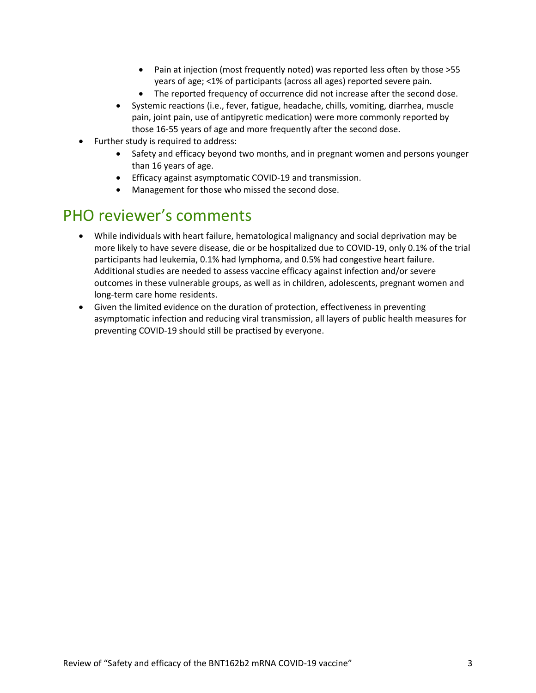- Pain at injection (most frequently noted) was reported less often by those >55 years of age; <1% of participants (across all ages) reported severe pain.
- The reported frequency of occurrence did not increase after the second dose.
- Systemic reactions (i.e., fever, fatigue, headache, chills, vomiting, diarrhea, muscle pain, joint pain, use of antipyretic medication) were more commonly reported by those 16-55 years of age and more frequently after the second dose.
- Further study is required to address:
	- Safety and efficacy beyond two months, and in pregnant women and persons younger than 16 years of age.
	- Efficacy against asymptomatic COVID-19 and transmission.
	- Management for those who missed the second dose.

#### PHO reviewer's comments

- While individuals with heart failure, hematological malignancy and social deprivation may be more likely to have severe disease, die or be hospitalized due to COVID-19, only 0.1% of the trial participants had leukemia, 0.1% had lymphoma, and 0.5% had congestive heart failure. Additional studies are needed to assess vaccine efficacy against infection and/or severe outcomes in these vulnerable groups, as well as in children, adolescents, pregnant women and long-term care home residents.
- Given the limited evidence on the duration of protection, effectiveness in preventing asymptomatic infection and reducing viral transmission, all layers of public health measures for preventing COVID-19 should still be practised by everyone.